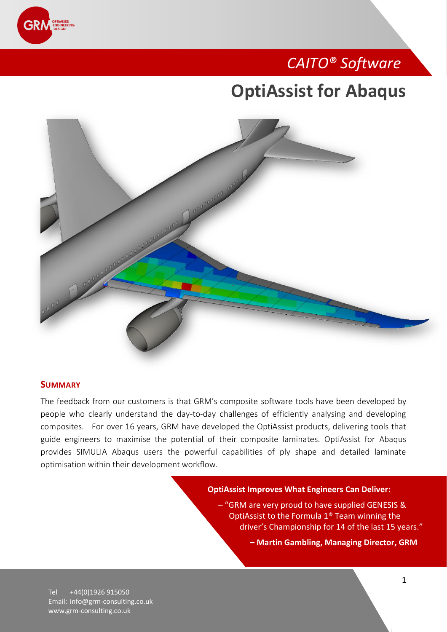

## **OptiAssist for Abaqus**



#### **SUMMARY**

The feedback from our customers is that GRM's composite software tools have been developed by people who clearly understand the day-to-day challenges of efficiently analysing and developing composites. For over 16 years, GRM have developed the OptiAssist products, delivering tools that guide engineers to maximise the potential of their composite laminates. OptiAssist for Abaqus provides SIMULIA Abaqus users the powerful capabilities of ply shape and detailed laminate optimisation within their development workflow.

#### **OptiAssist Improves What Engineers Can Deliver:**

– "GRM are very proud to have supplied GENESIS & OptiAssist to the Formula 1® Team winning the driver's Championship for 14 of the last 15 years."

**– Martin Gambling, Managing Director, GRM**